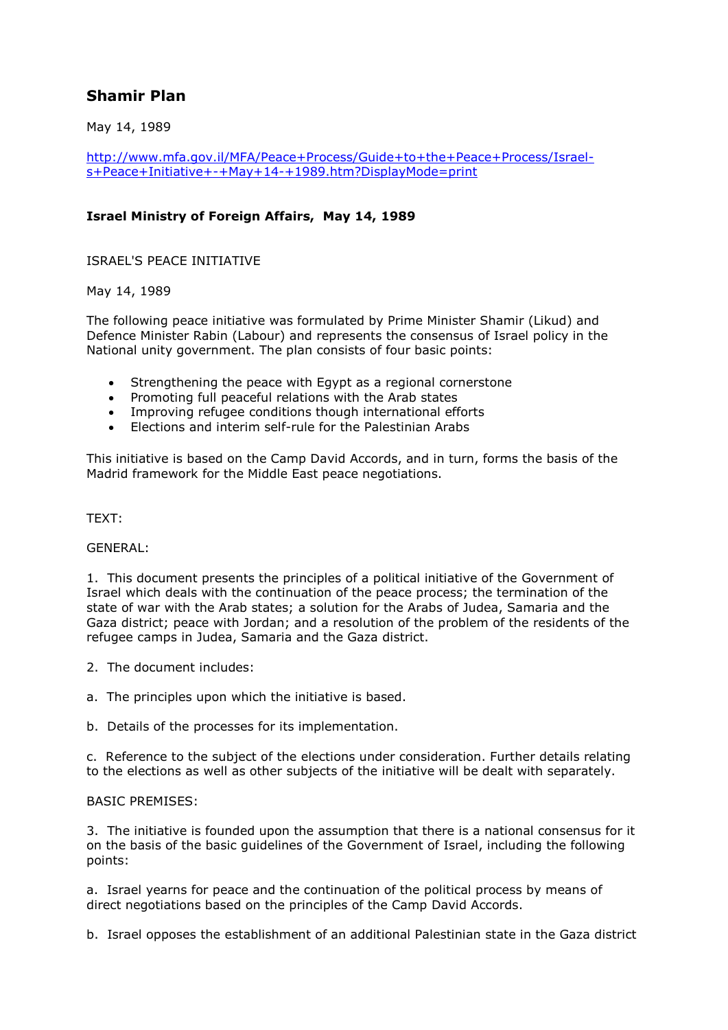# **Shamir Plan**

May 14, 1989

http://www.mfa.gov.il/MFA/Peace+Process/Guide+to+the+Peace+Process/Israels+Peace+Initiative+-+May+14-+1989.htm?DisplayMode=print

## **Israel Ministry of Foreign Affairs, May 14, 1989**

ISRAEL'S PEACE INITIATIVE

May 14, 1989

The following peace initiative was formulated by Prime Minister Shamir (Likud) and Defence Minister Rabin (Labour) and represents the consensus of Israel policy in the National unity government. The plan consists of four basic points:

- Strengthening the peace with Egypt as a regional cornerstone
- Promoting full peaceful relations with the Arab states
- Improving refugee conditions though international efforts
- Elections and interim self-rule for the Palestinian Arabs

This initiative is based on the Camp David Accords, and in turn, forms the basis of the Madrid framework for the Middle East peace negotiations.

TEXT:

## GENERAL:

1. This document presents the principles of a political initiative of the Government of Israel which deals with the continuation of the peace process; the termination of the state of war with the Arab states; a solution for the Arabs of Judea, Samaria and the Gaza district; peace with Jordan; and a resolution of the problem of the residents of the refugee camps in Judea, Samaria and the Gaza district.

- 2. The document includes:
- a. The principles upon which the initiative is based.
- b. Details of the processes for its implementation.

c. Reference to the subject of the elections under consideration. Further details relating to the elections as well as other subjects of the initiative will be dealt with separately.

## BASIC PREMISES:

3. The initiative is founded upon the assumption that there is a national consensus for it on the basis of the basic guidelines of the Government of Israel, including the following points:

a. Israel yearns for peace and the continuation of the political process by means of direct negotiations based on the principles of the Camp David Accords.

b. Israel opposes the establishment of an additional Palestinian state in the Gaza district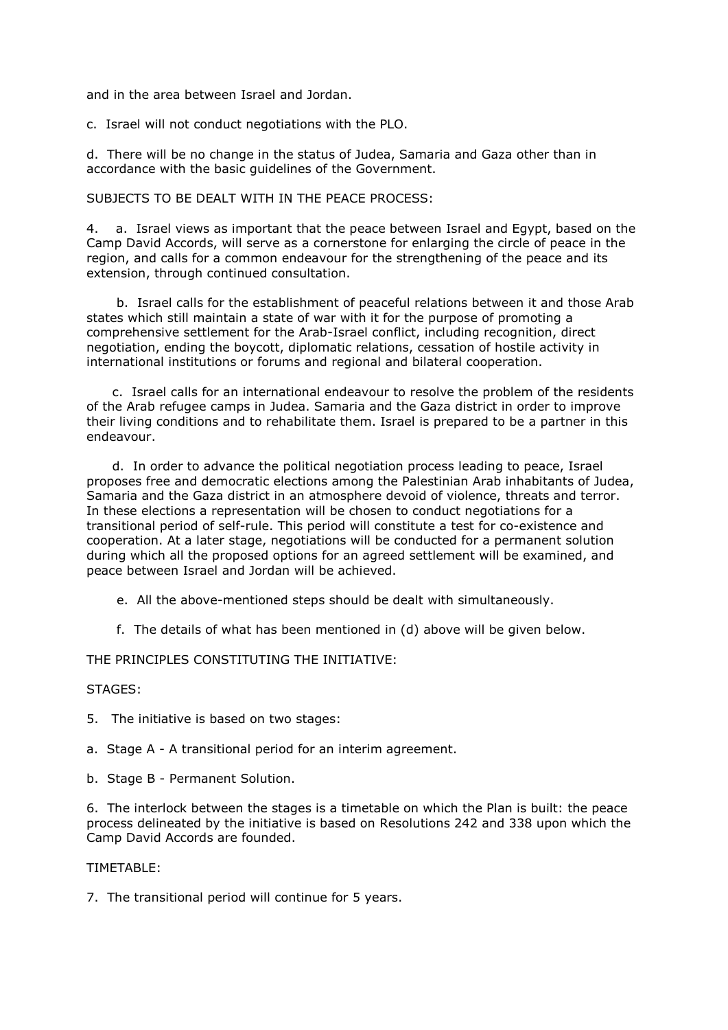and in the area between Israel and Jordan.

c. Israel will not conduct negotiations with the PLO.

d. There will be no change in the status of Judea, Samaria and Gaza other than in accordance with the basic guidelines of the Government.

## SUBJECTS TO BE DEALT WITH IN THE PEACE PROCESS:

4. a. Israel views as important that the peace between Israel and Egypt, based on the Camp David Accords, will serve as a cornerstone for enlarging the circle of peace in the region, and calls for a common endeavour for the strengthening of the peace and its extension, through continued consultation.

 b. Israel calls for the establishment of peaceful relations between it and those Arab states which still maintain a state of war with it for the purpose of promoting a comprehensive settlement for the Arab-Israel conflict, including recognition, direct negotiation, ending the boycott, diplomatic relations, cessation of hostile activity in international institutions or forums and regional and bilateral cooperation.

 c. Israel calls for an international endeavour to resolve the problem of the residents of the Arab refugee camps in Judea. Samaria and the Gaza district in order to improve their living conditions and to rehabilitate them. Israel is prepared to be a partner in this endeavour.

 d. In order to advance the political negotiation process leading to peace, Israel proposes free and democratic elections among the Palestinian Arab inhabitants of Judea, Samaria and the Gaza district in an atmosphere devoid of violence, threats and terror. In these elections a representation will be chosen to conduct negotiations for a transitional period of self-rule. This period will constitute a test for co-existence and cooperation. At a later stage, negotiations will be conducted for a permanent solution during which all the proposed options for an agreed settlement will be examined, and peace between Israel and Jordan will be achieved.

- e. All the above-mentioned steps should be dealt with simultaneously.
- f. The details of what has been mentioned in (d) above will be given below.

#### THE PRINCIPLES CONSTITUTING THE INITIATIVE:

STAGES:

- 5. The initiative is based on two stages:
- a. Stage A A transitional period for an interim agreement.
- b. Stage B Permanent Solution.

6. The interlock between the stages is a timetable on which the Plan is built: the peace process delineated by the initiative is based on Resolutions 242 and 338 upon which the Camp David Accords are founded.

#### TIMETABLE:

7. The transitional period will continue for 5 years.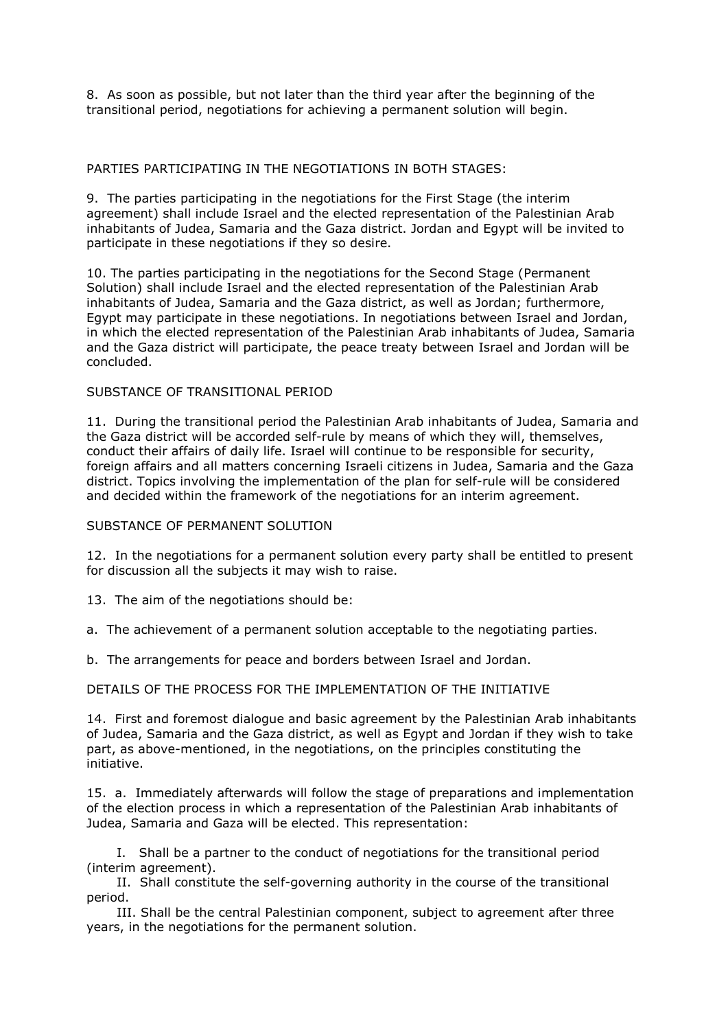8. As soon as possible, but not later than the third year after the beginning of the transitional period, negotiations for achieving a permanent solution will begin.

## PARTIES PARTICIPATING IN THE NEGOTIATIONS IN BOTH STAGES:

9. The parties participating in the negotiations for the First Stage (the interim agreement) shall include Israel and the elected representation of the Palestinian Arab inhabitants of Judea, Samaria and the Gaza district. Jordan and Egypt will be invited to participate in these negotiations if they so desire.

10. The parties participating in the negotiations for the Second Stage (Permanent Solution) shall include Israel and the elected representation of the Palestinian Arab inhabitants of Judea, Samaria and the Gaza district, as well as Jordan; furthermore, Egypt may participate in these negotiations. In negotiations between Israel and Jordan, in which the elected representation of the Palestinian Arab inhabitants of Judea, Samaria and the Gaza district will participate, the peace treaty between Israel and Jordan will be concluded.

## SUBSTANCE OF TRANSITIONAL PERIOD

11. During the transitional period the Palestinian Arab inhabitants of Judea, Samaria and the Gaza district will be accorded self-rule by means of which they will, themselves, conduct their affairs of daily life. Israel will continue to be responsible for security, foreign affairs and all matters concerning Israeli citizens in Judea, Samaria and the Gaza district. Topics involving the implementation of the plan for self-rule will be considered and decided within the framework of the negotiations for an interim agreement.

## SUBSTANCE OF PERMANENT SOLUTION

12. In the negotiations for a permanent solution every party shall be entitled to present for discussion all the subjects it may wish to raise.

13. The aim of the negotiations should be:

a. The achievement of a permanent solution acceptable to the negotiating parties.

b. The arrangements for peace and borders between Israel and Jordan.

## DETAILS OF THE PROCESS FOR THE IMPLEMENTATION OF THE INITIATIVE

14. First and foremost dialogue and basic agreement by the Palestinian Arab inhabitants of Judea, Samaria and the Gaza district, as well as Egypt and Jordan if they wish to take part, as above-mentioned, in the negotiations, on the principles constituting the initiative.

15. a. Immediately afterwards will follow the stage of preparations and implementation of the election process in which a representation of the Palestinian Arab inhabitants of Judea, Samaria and Gaza will be elected. This representation:

 I. Shall be a partner to the conduct of negotiations for the transitional period (interim agreement).

 II. Shall constitute the self-governing authority in the course of the transitional period.

 III. Shall be the central Palestinian component, subject to agreement after three years, in the negotiations for the permanent solution.